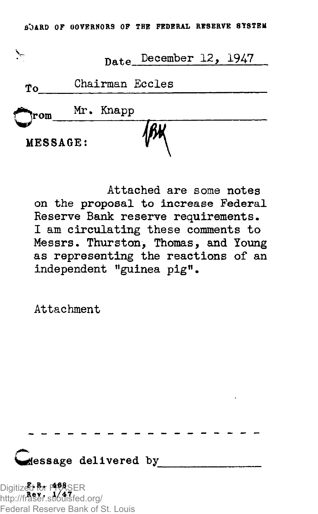|          | Date December 12, 1947 |
|----------|------------------------|
| Ťо       | Chairman Eccles        |
|          | rom Mr. Knapp          |
| MESSAGE: |                        |

Attached are some notes on the proposal to increase Federal Reserve Bank reserve requirements. I am circulating these comments to Messrs• Thurston, Thomas, and Young as representing the reactions of an independent "guinea pig".

Attachment

*<u>dessage</u>* delivered by

**F.R . 468**  Digitized for FRASER **Rev . 1/4 7**  http://fraser.stlouisfed.org/ Federal Reserve Bank of St. Louis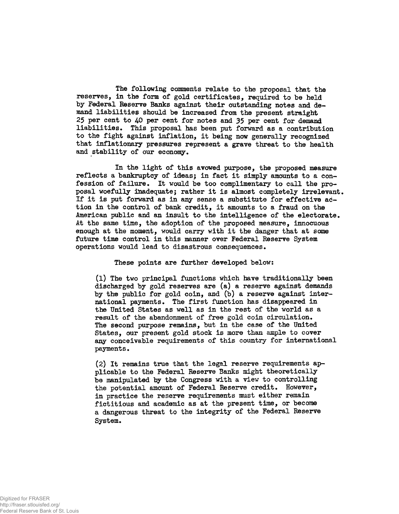The following comments relate to the proposal that the reserves, in the form of gold certificates, required to be held by Federal Reserve Banks against their outstanding notes and demand liabilities should be increased from the present straight 25 per cent to  $40$  per cent for notes and 35 per cent for demand liabilities. This proposal has been put forward as a contribution to the fight against inflation, it being now generally recognized that inflationary pressures represent a grave threat to the health and stability of our economy.

In the light of this avowed purpose, the proposed measure reflects a bankruptcy of ideas; in fact it simply amounts to a confession of failure. It would be too complimentary to call the proposal woefully inadequate; rather it is almost completely irrelevant. If it is put forward as in any sense a substitute for effective action in the control of bank credit, it amounts to a fraud on the American public and an insult to the intelligence of the electorate. At the same time, the adoption of the proposed measure, innocuous enough at the moment, would carry with it the danger that at some future time control in this manner over Federal Reserve System operations would lead to disastrous consequences.

These points are further developed below:

 $(1)$  The two principal functions which have traditionally been discharged by gold reserves are (a) a reserve against demands by the public for gold coin, and (b) a reserve against international payments. The first function has disappeared in the United States as well as in the rest of the world as a result of the abandonment of free gold coin circulation. The second purpose remains, but in the case of the United States, our present gold stock is more than ample to cover any conceivable requirements of this country for international payments.

(2) It remains true that the legal reserve requirements applicable to the Federal Reserve Banks might theoretically be manipulated by the Congress with a view to controlling the potential amount of Federal Reserve credit. However, in practice the reserve requirements must either remain fictitious and academic as at the present time, or become a dangerous threat to the integrity of the Federal Reserve System.